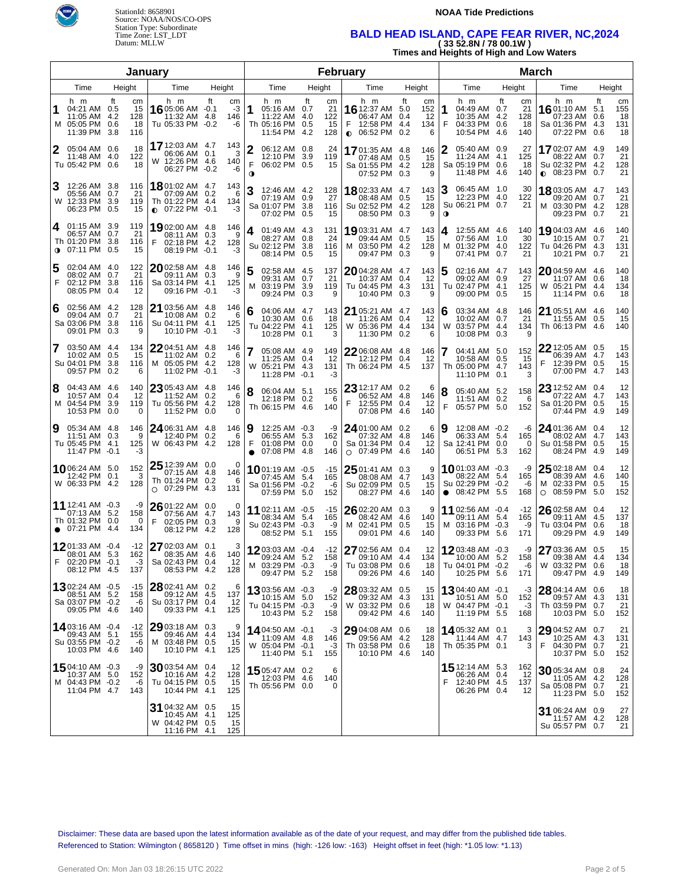



#### **NOAA Tide Predictions**

## **BALD HEAD ISLAND, CAPE FEAR RIVER, NC,2024 ( 33 52.8N / 78 00.1W )**

**Times and Heights of High and Low Waters**

|                        |                                                                               |                                     | January                                                                      |                                              |                          |                                                                        |        | February                     |                                                                          |                                           |      |                                                                                 |                                           |                                                                               |        |                              |
|------------------------|-------------------------------------------------------------------------------|-------------------------------------|------------------------------------------------------------------------------|----------------------------------------------|--------------------------|------------------------------------------------------------------------|--------|------------------------------|--------------------------------------------------------------------------|-------------------------------------------|------|---------------------------------------------------------------------------------|-------------------------------------------|-------------------------------------------------------------------------------|--------|------------------------------|
| Time<br>Height<br>Time |                                                                               |                                     | Height                                                                       |                                              | Time                     |                                                                        | Height | Time                         | Height                                                                   |                                           | Time | Height                                                                          | Time                                      |                                                                               | Height |                              |
| 1                      | h m<br>04:21 AM 0.5<br>11:05 AM 4.2<br>M 05:05 PM 0.6<br>11:39 PM 3.8         | Ħ<br>cm<br>15<br>128<br>18<br>116   | h m<br>16 05:06 AM -0.1<br>11:32 AM<br>Tu 05:33 PM                           | ft<br>cm<br>-3<br>146<br>4.8<br>$-0.2$<br>-6 | 1                        | h m<br>05:16 AM 0.7<br>11:22 AM 4.0<br>Th 05:16 PM 0.5<br>11:54 PM 4.2 | ft     | cm<br>21<br>122<br>15<br>128 | h m<br>16 12:37 AM 5.0<br>06:47 AM<br>12:58 PM<br>$\bullet$ 06:52 PM 0.2 | Ħ<br>cm<br>152<br>12<br>0.4<br>4.4<br>134 | 6    | h m<br>1<br>04:49 AM 0.7<br>10:35 AM 4.2<br>F<br>04:33 PM 0.6<br>10:54 PM       | ft<br>cm<br>21<br>128<br>18<br>4.6<br>140 | h m<br>16 01:10 AM 5.1<br>07:23 AM 0.6<br>Sa 01:36 PM 4.3<br>07:22 PM 0.6     | ft     | cm<br>155<br>18<br>131<br>18 |
|                        | 05:04 AM 0.6<br>11:48 AM 4.0<br>Tu 05:42 PM 0.6                               | 18<br>122<br>18                     | 17 12:03 AM 4.7<br>06:06 AM = 0.1<br>W 12:26 PM 4.6<br>06:27 PM -0.2         | 143<br>140<br>-6                             | 2<br>3<br>F<br>$\bullet$ | 06:12 AM 0.8<br>12:10 PM 3.9<br>06:02 PM 0.5                           |        | 24<br>119<br>15              | 17 01:35 AM 4.8<br>07:48 AM 0.5<br>Sa 01:55 PM 4.2<br>07:52 PM 0.3       | 146<br>15<br>128                          | 9    | 2<br>05:40 AM 0.9<br>11:24 AM 4.1<br>Sa 05:19 PM 0.6<br>11:48 PM 4.6            | 27<br>125<br>18<br>140                    | 1702:07 AM 4.9<br>08:22 AM 0.7<br>Su 02:32 PM 4.2<br>$\bullet$ 08:23 PM 0.7   |        | 149<br>21<br>128<br>21       |
|                        | 12:26 AM 3.8<br>05:56 AM 0.7<br>W 12:33 PM 3.9<br>06:23 PM 0.5                | 116<br>21<br>119<br>15              | 1801:02 AM 4.7<br>07:09 AM 0.2<br>Th 01:22 PM 4.4<br>$\bullet$ 07:22 PM -0.1 | 143<br>134<br>-3                             | 3<br>-6                  | 12:46 AM 4.2<br>07:19 AM 0.9<br>Sa 01:07 PM 3.8<br>07:02 PM 0.5        |        | 128<br>27<br>116<br>15       | 1802:33 AM 4.7<br>08:48 AM 0.5<br>Su 02:52 PM 4.2<br>08:50 PM 0.3        | 143<br>15<br>128                          | 9    | З<br>06:45 AM 1.0<br>12:23 PM 4.0<br>Su 06:21 PM 0.7<br>$\mathbf 0$             | 30<br>122<br>21                           | 18 03:05 AM 4.7<br>09:20 AM 0.7<br>M 03:30 PM 4.2<br>09:23 PM 0.7             |        | 143<br>21<br>128<br>21       |
| 4                      | 01:15 AM 3.9<br>06:57 AM 0.7<br>Th 01:20 PM 3.8<br>$\bullet$ 07:11 PM 0.5     | 119<br>21<br>116<br>15              | 1902:00 AM 4.8<br>08:11 AM 0.3<br>F<br>02:18 PM 4.2<br>08:19 PM -0.1         | 146<br>128<br>-3                             | 4<br>9                   | 01:49 AM 4.3<br>08:27 AM 0.8<br>Su 02:12 PM 3.8<br>08:14 PM 0.5        |        | 131<br>24<br>116<br>15       | 1903:31 AM 4.7<br>09:44 AM 0.5<br>M 03:50 PM 4.2<br>09:47 PM 0.3         | 143<br>15<br>128                          | 9    | 12:55 AM 4.6<br>4<br>07:56 AM 1.0<br>01:32 PM 4.0<br>M<br>07:41 PM 0.7          | 140<br>30<br>122<br>21                    | 19 04:03 AM 4.6<br>10:15 AM 0.7<br>Tu 04:26 PM 4.3<br>10:21 PM 0.7            |        | 140<br>21<br>131<br>21       |
| F                      | 02:04 AM 4.0<br>08:02 AM 0.7<br>02:12 PM 3.8<br>08:05 PM 0.4                  | 122<br>21<br>116<br>12              | 2002:58 AM 4.8<br>09:11 AM 0.3<br>Sa 03:14 PM 4.1<br>09:16 PM -0.1           | 146<br>125<br>$-3$                           | 5<br>9                   | 02:58 AM 4.5<br>09:31 AM 0.7<br>03:19 PM 3.9<br>м<br>09:24 PM 0.3      |        | 137<br>21<br>119<br>9        | 2004:28 AM 4.7<br>10:37 AM 0.4<br>Tu 04:45 PM 4.3<br>10:40 PM 0.3        | 143<br>-12<br>131                         | 9    | 02:16 AM 4.7<br>5<br>09:02 AM 0.9<br>Tu 02:47 PM 4.1<br>09:00 PM 0.5            | 143<br>27<br>125<br>15                    | 2004:59 AM 4.6<br>11:07 AM 0.6<br>W 05:21 PM 4.4<br>11:14 PM 0.6              |        | 140<br>18<br>134<br>18       |
| 6                      | 02:56 AM 4.2<br>09:04 AM 0.7<br>Sa 03:06 PM 3.8<br>09:01 PM                   | 128<br>21<br>116<br>0.3<br>9        | 21 03:56 AM 4.8<br>10:08 AM 0.2<br>Su 04:11 PM 4.1<br>10:10 PM -0.1          | 146<br>-6<br>125<br>-3                       | 6                        | 04:06 AM 4.7<br>10:30 AM 0.6<br>Tu 04:22 PM 4.1<br>10:28 PM 0.1        |        | 143<br>18<br>125<br>3        | 21 05:21 AM 4.7<br>11:26 AM 0.4<br>W 05:36 PM 4.4<br>11:30 PM 0.2        | 143<br>-12<br>134                         | 6    | 03:34 AM 4.8<br>6<br>10:02 AM 0.7<br>W<br>03:57 PM 4.4<br>10:08 PM 0.3          | 146<br>21<br>134                          | 21 05:51 AM 4.6<br>11:55 AM 0.5<br>Th 06:13 PM 4.6                            |        | 140<br>15<br>140             |
| 7                      | 03:50 AM 4.4<br>10:02 AM 0.5<br>Su 04:01 PM<br>09:57 PM                       | 134<br>15<br>3.8<br>116<br>0.2<br>6 | 22 04:51 AM 4.8<br>11:02 AM 0.2<br>M 05:05 PM 4.2<br>11:02 PM -0.1           | 146<br>-6<br>128<br>-3                       |                          | 05:08 AM 4.9<br>11:25 AM 0.4<br>W 05:21 PM 4.3<br>11:28 PM -0.1        |        | 149<br>12<br>131<br>-3       | 22 06:08 AM 4.8<br>12:12 PM<br>Th 06:24 PM 4.5                           | 146<br>0.4<br>-12<br>137                  |      | 7<br>04:41 AM 5.0<br>10:58 AM 0.5<br>Th 05:00 PM 4.7<br>11:10 PM 0.1            | 152<br>15<br>143<br>3                     | $22$ 12:05 AM 0.5<br>06:39 AM 4.7<br>F<br>12:39 PM 0.5<br>07:00 PM 4.7        |        | 15<br>143<br>15<br>143       |
| 8                      | 04:43 AM 4.6<br>10:57 AM 0.4<br>M 04:54 PM<br>10:53 PM                        | 140<br>12<br>3.9<br>119<br>0.0<br>0 | 23 05:43 AM 4.8<br>11:52 AM 0.2<br>Tu 05:56 PM 4.2<br>11:52 PM 0.0           | 146<br>128                                   | 8<br>-6<br>$\Omega$      | 06:04 AM 5.1<br>12:18 PM 0.2<br>Th 06:15 PM 4.6                        |        | 155<br>6<br>140              | $23$ 12:17 AM 0.2<br>06:52 AM 4.8<br>12:55 PM 0.4<br>07:08 PM            | 146<br>12<br>4.6<br>140                   | 6    | 8<br>05:40 AM 5.2<br>11:51 AM 0.2<br>F<br>05:57 PM 5.0                          | 158<br>6<br>152                           | <b>23</b> 12:52 AM 0.4<br>07:22 AM 4.7<br>Sa 01:20 PM 0.5<br>07:44 PM 4.9     |        | 12<br>143<br>15<br>149       |
| 9                      | 05:34 AM 4.8<br>11:51 AM 0.3<br>Tu 05:45 PM 4.1<br>11:47 PM -0.1              | 146<br>9<br>125<br>-3               | 24 06:31 AM 4.8<br>12:40 PM 0.2<br>W 06:43 PM 4.2                            | 146<br>128                                   | 9<br>6<br>F<br>$\bullet$ | $12:25$ AM $-0.3$<br>06:55 AM 5.3<br>01:08 PM 0.0<br>07:08 PM 4.8      |        | -9<br>162<br>$\Omega$<br>146 | 24 01:00 AM 0.2<br>07:32 AM 4.8<br>Sa 01:34 PM 0.4<br>O 07:49 PM         | 146<br>12<br>-4.6<br>140                  | 6    | 12:08 AM -0.2<br>06:33 AM 5.4<br>Sa 12:41 PM 0.0<br>06:51 PM 5.3                | -6<br>165<br>0<br>162                     | 24 01:36 AM 0.4<br>08:02 AM 4.7<br>Su 01:58 PM 0.5<br>08:24 PM 4.9            |        | 12<br>143<br>15<br>149       |
|                        | 1006:24 AM 5.0<br>12:42 PM 0.1<br>W 06:33 PM 4.2                              | 152<br>3<br>128                     | <b>25</b> 12:39 AM 0.0<br>07:15 AM 4.8<br>Th 01:24 PM 0.2<br>O 07:29 PM 4.3  | 146<br>131                                   | 0<br>6                   | 1001:19 AM -0.5<br>07:45 AM 5.4<br>Sa 01:56 PM -0.2<br>07:59 PM 5.0    |        | $-15$<br>165<br>-6<br>152    | $2501:41$ AM 0.3<br>08:08 AM 4.7<br>Su 02:09 PM 0.5<br>08:27 PM          | 9<br>143<br>15<br>4.6<br>140              |      | <b>10</b> 01:03 AM $-0.3$<br>08:22 AM 5.4<br>Su 02:29 PM -0.2<br>$08:42$ PM 5.5 | -9<br>165<br>-6<br>168                    | $2502:18$ AM 0.4<br>08:39 AM 4.6<br>M 02:33 PM 0.5<br>08:59 PM 5.0<br>$\circ$ |        | 12<br>140<br>15<br>152       |
|                        | 11 12:41 AM -0.3<br>07:13 AM 5.2<br>Th 01:32 PM 0.0<br>$\bullet$ 07:21 PM 4.4 | -9<br>158<br>$\Omega$<br>134        | 2601:22 AM 0.0<br>07:56 AM 4.7<br>F<br>02:05 PM 0.3<br>08:12 PM 4.2          | 143<br>128                                   | 0<br>9                   | 11 02:11 AM -0.5<br>08:34 AM 5.4<br>Su 02:43 PM -0.3<br>08:52 PM 5.1   |        | $-15$<br>165<br>-9<br>155    | 26 02:20 AM 0.3<br>08:42 AM 4.6<br>M 02:41 PM<br>09:01 PM                | 140<br>0.5<br>15<br>4.6<br>140            | 9    | 11 02:56 AM -0.4<br>09:11 AM 5.4<br>03:16 PM -0.3<br>M<br>09:33 PM 5.6          | $-12$<br>165<br>-9<br>171                 | 26 02:58 AM 0.4<br>09:11 AM 4.5<br>Tu 03:04 PM 0.6<br>09:29 PM 4.9            |        | 12<br>137<br>18<br>149       |
| F.                     | 1201:33 AM -0.4<br>08:01 AM 5.3<br>02:20 PM -0.1<br>08:12 PM 4.5              | -12<br>162<br>-3<br>137             | 27 02:03 AM 0.1<br>08:35 AM 4.6<br>Sa 02:43 PM 0.4<br>08:53 PM 4.2           | 140<br>12<br>128                             | 3                        | 1203:03 AM -0.4<br>09:24 AM 5.2<br>M 03:29 PM -0.3<br>09:47 PM 5.2     |        | $-12$<br>158<br>-9<br>158    | 27 02:56 AM 0.4<br>09:10 AM 4.4<br>Tu 03:08 PM 0.6<br>09:26 PM 4.6       | 12<br>134<br>18<br>140                    |      | 1203:48 AM -0.3<br>10:00 AM 5.2<br>Tu 04:01 PM -0.2<br>10:25 PM 5.6             | -9<br>158<br>-6<br>171                    | 27 03:36 AM 0.5<br>09:38 AM 4.4<br>03:32 PM 0.6<br>09:47 PM 4.9               |        | 15<br>134<br>18<br>149       |
|                        | <b>13</b> 02:24 AM -0.5<br>08:51 AM 5.2<br>Sa 03:07 PM -0.2<br>09:05 PM 4.6   | $-15$<br>158<br>-6<br>140           | 28 02:41 AM 0.2<br>09:12 AM 4.5<br>Su 03:17 PM 0.4<br>09:33 PM 4.1           | 137<br>12<br>125                             | 6                        | 1303:56 AM -0.3<br>10:15 AM 5.0<br>Tu 04:15 PM -0.3<br>10:43 PM 5.2    |        | -9<br>152<br>-9<br>158       | 28 03:32 AM 0.5<br>09:32 AM 4.3<br>W 03:32 PM 0.6<br>09:42 PM 4.6        | 15<br>131<br>18<br>140                    |      | 1304:40 AM -0.1<br>10:51 AM 5.0<br>W 04:47 PM -0.1<br>11:19 PM 5.5              | -3<br>152<br>$-3$<br>168                  | 28 04:14 AM 0.6<br>09:57 AM 4.3<br>Th 03:59 PM 0.7<br>10:03 PM 5.0            |        | 18<br>131<br>21<br>152       |
|                        | 1403:16 AM -0.4<br>09:43 AM 5.1<br>Su 03:55 PM -0.2<br>10:03 PM 4.6           | -12<br>155<br>-6<br>140             | 29 03:18 AM 0.3<br>09:46 AM 4.4<br>M 03:48 PM 0.5<br>10:10 PM 4.1            | 134<br>15<br>125                             | 9                        | 14 04:50 AM -0.1<br>11:09 AM 4.8<br>W 05:04 PM -0.1<br>11:40 PM 5.1    |        | -3<br>146<br>-3<br>155       | 29 04:08 AM 0.6<br>09:56 AM 4.2<br>Th 03:58 PM 0.6<br>10:10 PM 4.6       | 18<br>128<br>18<br>140                    |      | 14 05:32 AM 0.1<br>11:44 AM 4.7<br>Th 05:35 PM 0.1                              | 3<br>143<br>3                             | 29 04:52 AM 0.7<br>10:25 AM 4.3<br>F 04:30 PM 0.7<br>10:37 PM 5.0             |        | 21<br>131<br>21<br>152       |
|                        | 15 04:10 AM -0.3<br>10:37 AM 5.0<br>M 04:43 PM -0.2<br>11:04 PM 4.7           | -9<br>152<br>-6<br>143              | $30$ 03:54 AM 0.4<br>10:16 AM 4.2<br>Tu 04:15 PM 0.5<br>10:44 PM 4.1         | -12<br>128<br>15<br>125                      |                          | 1505:47 AM 0.2<br>12:03 PM 4.6<br>Th 05:56 PM 0.0                      |        | 6<br>140<br>0                |                                                                          |                                           |      | <b>15</b> 12:14 AM 5.3<br>06:26 AM 0.4<br>12:40 PM 4.5<br>F<br>06:26 PM 0.4     | 162<br>12<br>137<br>12                    | 3005:34 AM 0.8<br>11:05 AM 4.2<br>Sa 05:08 PM 0.7<br>11:23 PM 5.0             |        | 24<br>128<br>21<br>152       |
|                        |                                                                               |                                     | 31 04:32 AM 0.5<br>10:45 AM 4.1<br>W 04:42 PM 0.5<br>11:16 PM 4.1            | 15<br>125<br>15<br>125                       |                          |                                                                        |        |                              |                                                                          |                                           |      |                                                                                 |                                           | 31 06:24 AM 0.9<br>11:57 AM 4.2<br>Su 05:57 PM 0.7                            |        | 27<br>128<br>21              |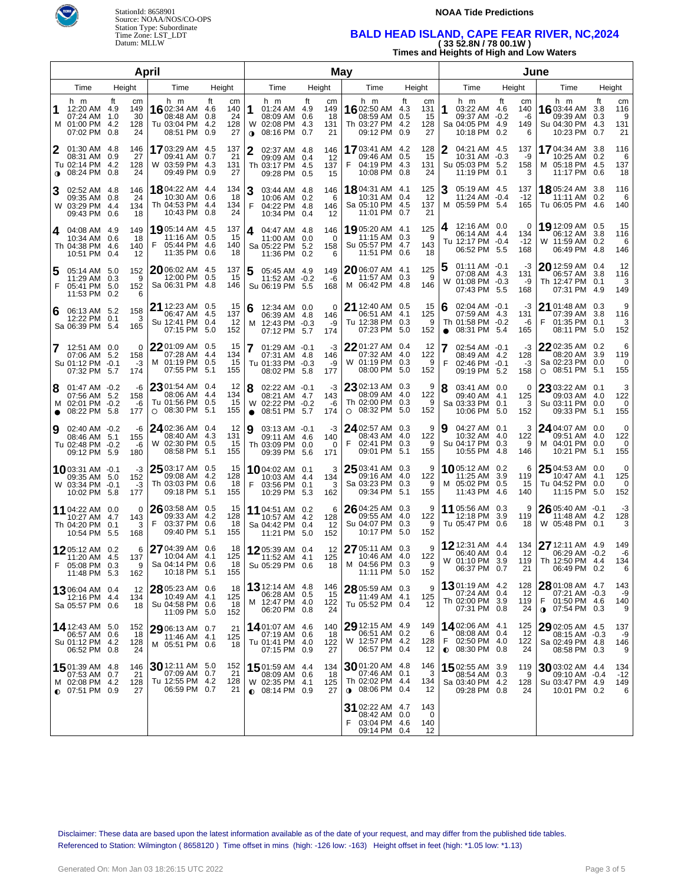



#### **NOAA Tide Predictions**

# **BALD HEAD ISLAND, CAPE FEAR RIVER, NC,2024 ( 33 52.8N / 78 00.1W )**

| (33 34.0N / 70 UU. IW )                  |  |
|------------------------------------------|--|
| Times and Heights of High and Low Waters |  |

|                        |                                                                            |                                                  | <b>April</b>                                                                 |                                                                |                |                                                                             |      | May                          |                                                                             |                                                         |                |                                                                       |           |                             |                                                                              |                         |                             |
|------------------------|----------------------------------------------------------------------------|--------------------------------------------------|------------------------------------------------------------------------------|----------------------------------------------------------------|----------------|-----------------------------------------------------------------------------|------|------------------------------|-----------------------------------------------------------------------------|---------------------------------------------------------|----------------|-----------------------------------------------------------------------|-----------|-----------------------------|------------------------------------------------------------------------------|-------------------------|-----------------------------|
| Height<br>Time<br>Time |                                                                            | Height                                           |                                                                              | Time                                                           |                | Height                                                                      | Time | Height                       |                                                                             | Time                                                    | Height         |                                                                       | Time      |                             | Height                                                                       |                         |                             |
| 1                      | h m<br>12:20 AM<br>07:24 AM 1.0<br>M 01:00 PM 4.2<br>07:02 PM              | Ħ.<br>cm<br>149<br>4.9<br>30<br>128<br>0.8<br>24 | h m<br>1602:34 AM<br>08:48 AM<br>Tu 03:04 PM<br>08:51 PM                     | ft<br>cm<br>140<br>4.6<br>24<br>0.8<br>128<br>4.2<br>27<br>0.9 | 1<br>$\bullet$ | h m<br>01:24 AM 4.9<br>08:09 AM 0.6<br>W 02:08 PM 4.3<br>08:16 PM 0.7       | ft   | cm<br>149<br>18<br>131<br>21 | h m<br>16 02:50 AM<br>08:59 AM<br>Th 03:27 PM 4.2<br>09:12 PM               | ft<br>cm<br>131<br>4.3<br>0.5<br>15<br>128<br>27<br>0.9 | 1              | h m<br>03:22 AM 4.6<br>09:37 AM -0.2<br>Sa 04:05 PM 4.9<br>10:18 PM   | ft<br>0.2 | cm<br>140<br>-6<br>149<br>6 | h m<br>1603:44 AM<br>09:39 AM<br>Su 04:30 PM 4.3<br>10:23 PM                 | Ħ.<br>3.8<br>0.3<br>0.7 | cm<br>116<br>9<br>131<br>21 |
| 2<br>$\bullet$         | 01:30 AM 4.8<br>08:31 AM 0.9<br>Tu 02:14 PM 4.2<br>08:24 PM                | 146<br>27<br>128<br>0.8<br>24                    | 17 03:29 AM 4.5<br>09:41 AM<br>W 03:59 PM 4.3<br>09:49 PM 0.9                | 137<br>0.7<br>21<br>131<br>27                                  | 2              | 02:37 AM 4.8<br>09:09 AM 0.4<br>Th 03:17 PM 4.5<br>09:28 PM 0.5             |      | 146<br>-12<br>137<br>15      | <b>17</b> 03:41 AM 4.2<br>09:46 AM<br>04:19 PM 4.3<br>F<br>10:08 PM         | 128<br>0.5<br>15<br>131<br>24<br>0.8                    | 2              | 04:21 AM 4.5<br>10:31 AM -0.3<br>Su 05:03 PM 5.2<br>11:19 PM 0.1      |           | 137<br>-9<br>158<br>3       | <b>17</b> 04:34 AM<br>10:25 AM 0.2<br>M 05:18 PM 4.5<br>11:17 PM 0.6         | 3.8                     | 116<br>6<br>137<br>18       |
| 3                      | 02:52 AM 4.8<br>09:35 AM 0.8<br>W 03:29 PM 4.4<br>09:43 PM 0.6             | 146<br>24<br>134<br>18                           | <b>18</b> 04:22 AM 4.4<br>10:30 AM 0.6<br>Th 04:53 PM 4.4<br>10:43 PM 0.8    | 134<br>18<br>134<br>24                                         | 3<br>F         | 03:44 AM 4.8<br>10:06 AM 0.2<br>04:22 PM 4.8<br>10:34 PM 0.4                |      | 146<br>6<br>146<br>12        | <b>18</b> 04:31 AM 4.1<br>10:31 AM 0.4<br>Sa 05:10 PM 4.5<br>11:01 PM 0.7   | 125<br>12<br>137<br>21                                  | 3<br>м         | 05:19 AM 4.5<br>11:24 AM -0.4<br>05:59 PM 5.4                         |           | 137<br>$-12$<br>165         | <b>18</b> 05:24 AM 3.8<br>11:11 AM 0.2<br>Tu 06:05 PM 4.6                    |                         | 116<br>6<br>140             |
| 4                      | 04:08 AM 4.9<br>10:34 AM 0.6<br>Th 04:38 PM 4.6<br>10:51 PM 0.4            | 149<br>18<br>140<br>12                           | <b>19</b> 05:14 AM 4.5<br>11:16 AM<br>05:44 PM 4.6<br>F<br>11:35 PM 0.6      | 137<br>0.5<br>15<br>140<br>18                                  | 4              | 04:47 AM 4.8<br>11:00 AM 0.0<br>Sa 05:22 PM 5.2<br>11:36 PM 0.2             |      | 146<br>$\Omega$<br>158<br>6  | 19 05:20 AM 4.1<br>11:15 AM 0.3<br>Su 05:57 PM 4.7<br>11:51 PM 0.6          | 125<br>-9<br>143<br>18                                  | 4              | 12:16 AM  0.0<br>06:14 AM 4.4<br>Tu 12:17 PM -0.4<br>06:52 PM 5.5     |           | 0<br>134<br>$-12$<br>168    | 19 12:09 AM 0.5<br>06:12 AM 3.8<br>W 11:59 AM 0.2<br>06:49 PM 4.8            |                         | 15<br>116<br>6<br>146       |
| 5<br>F                 | 05:14 AM 5.0<br>11:29 AM 0.3<br>05:41 PM 5.0<br>11:53 PM 0.2               | 152<br>9<br>152                                  | 20 06:02 AM 4.5<br>12:00 PM 0.5<br>Sa 06:31 PM 4.8<br>6                      | 137<br>15<br>146                                               |                | 05:45 AM 4.9<br>11:52 AM -0.2<br>Su 06:19 PM 5.5                            |      | 149<br>-6<br>168             | 20 06:07 AM 4.1<br>11:57 AM 0.3<br>M 06:42 PM                               | 125<br>9<br>4.8<br>146                                  |                | $01:11$ AM $-0.1$<br>07:08 AM 4.3<br>W 01:08 PM -0.3<br>07:43 PM 5.5  |           | -3<br>131<br>-9<br>168      | 20 12:59 AM 0.4<br>06:57 AM 3.8<br>Th 12:47 PM 0.1<br>07:31 PM 4.9           |                         | 12<br>116<br>3<br>149       |
| 6                      | 06:13 AM 5.2<br>12:22 PM 0.1<br>Sa 06:39 PM 5.4                            | 158<br>3<br>165                                  | 21 12:23 AM 0.5<br>06:47 AM 4.5<br>Su 12:41 PM 0.4<br>07:15 PM 5.0           | 15<br>137<br>12<br>152                                         | 6<br>M         | 12:34 AM 0.0<br>06:39 AM 4.8<br>12:43 PM -0.3<br>07:12 PM 5.7               |      | $\Omega$<br>146<br>-9<br>174 | 21 12:40 AM 0.5<br>06:51 AM 4.1<br>Tu 12:38 PM 0.3<br>07:23 PM 5.0          | 15<br>125<br>9<br>152                                   | 6<br>$\bullet$ | $02:04$ AM $-0.1$<br>07:59 AM 4.3<br>Th 01:58 PM -0.2<br>08:31 PM 5.4 |           | -3<br>131<br>-6<br>165      | 21 01:48 AM 0.3<br>07:39 AM 3.8<br>F<br>01:35 PM 0.1<br>08:11 PM 5.0         |                         | 9<br>116<br>3<br>152        |
|                        | 12:51 AM 0.0<br>07:06 AM 5.2<br>Su 01:12 PM -0.1<br>07:32 PM 5.7           | 158<br>$-3$<br>174                               | 2201:09 AM 0.5<br>$\Omega$<br>07:28 AM 4.4<br>M 01:19 PM 0.5<br>07:55 PM 5.1 | 15<br>134<br>15<br>155                                         |                | $01:29$ AM $-0.1$<br>07:31 AM 4.8<br>Tu 01:33 PM -0.3<br>08:02 PM 5.8       |      | -3<br>146<br>-9<br>177       | $2201:27$ AM 0.4<br>07:32 AM 4.0<br>W 01:19 PM 0.3<br>08:00 PM 5.0          | 12<br>122<br>9<br>152                                   | F              | $02:54$ AM $-0.1$<br>08:49 AM 4.2<br>02:46 PM -0.1<br>09:19 PM 5.2    |           | -3<br>128<br>$-3$<br>158    | 22 02:35 AM 0.2<br>08:20 AM 3.9<br>Sa 02:23 PM 0.0<br>$O$ 08:51 PM 5.1       |                         | 6<br>119<br>0<br>155        |
| 8<br>$\bullet$         | 01:47 AM -0.2<br>07:56 AM 5.2<br>M 02:01 PM -0.2<br>08:22 PM 5.8           | -6<br>158<br>-6<br>177                           | 23 01:54 AM 0.4<br>08:06 AM 4.4<br>Tu 01:56 PM 0.5<br>$\circ$ 08:30 PM 5.1   | 12<br>134<br>15<br>155                                         | 8              | 02:22 AM -0.1<br>08:21 AM 4.7<br>W 02:22 PM -0.2<br>$\bullet$ 08:51 PM 5.7  |      | -3<br>143<br>-6<br>174       | 23 02:13 AM 0.3<br>08:09 AM 4.0<br>Th 02:00 PM 0.3<br>$O$ 08:32 PM 5.0      | 9<br>122<br>9<br>152                                    | 8              | 03:41 AM 0.0<br>09:40 AM 4.1<br>Sa 03:33 PM 0.1<br>10:06 PM 5.0       |           | 0<br>125<br>3<br>152        | $2303:22$ AM 0.1<br>09:03 AM 4.0<br>Su 03:11 PM 0.0<br>09:33 PM 5.1          |                         | 3<br>122<br>0<br>155        |
| 9                      | 02:40 AM -0.2<br>08:46 AM 5.1<br>Tu 02:48 PM -0.2<br>09:12 PM 5.9          | -6<br>155<br>-6<br>180                           | $2402:36$ AM 0.4<br>08:40 AM 4.3<br>W 02:30 PM 0.5<br>08:58 PM 5.1           | 12<br>131<br>15<br>155                                         | 9              | 03:13 AM -0.1<br>09:11 AM 4.6<br>Th 03:09 PM 0.0<br>09:39 PM 5.6            |      | -3<br>140<br>$\Omega$<br>171 | 24 02:57 AM 0.3<br>08:43 AM 4.0<br>F<br>02:41 PM 0.3<br>09:01 PM            | 9<br>122<br>9<br>5.1<br>155                             | 9              | 04:27 AM 0.1<br>10:32 AM 4.0<br>Su 04:17 PM 0.3<br>10:55 PM 4.8       |           | 3<br>122<br>9<br>146        | 24 04:07 AM 0.0<br>09:51 AM 4.0<br>M 04:01 PM 0.0<br>10:21 PM 5.1            |                         | 0<br>122<br>0<br>155        |
|                        | 1003:31 AM -0.1<br>09:35 AM 5.0<br>W 03:34 PM -0.1<br>10:02 PM 5.8         | -3<br>152<br>-3<br>177                           | $2503:17$ AM 0.5<br>09:08 AM<br>Th 03:03 PM<br>09:18 PM 5.1                  | 15<br>4.2<br>128<br>18<br>0.6<br>155                           | F              | 1004:02 AM 0.1<br>10:03 AM 4.4<br>03:56 PM 0.1<br>10:29 PM 5.3              |      | 3<br>134<br>3<br>162         | $2503:41$ AM 0.3<br>09:16 AM 4.0<br>Sa 03:23 PM 0.3<br>09:34 PM 5.1         | 9<br>122<br>9<br>155                                    |                | 1005:12 AM 0.2<br>11:25 AM 3.9<br>M 05:02 PM 0.5<br>11:43 PM 4.6      |           | 6<br>119<br>15<br>140       | $2504:53$ AM 0.0<br>10:47 AM 4.1<br>Tu 04:52 PM 0.0<br>11:15 PM 5.0          |                         | 0<br>125<br>0<br>152        |
|                        | 11 04:22 AM 0.0<br>10:27 AM 4.7<br>Th 04:20 PM 0.1<br>10:54 PM 5.5         | 143<br>168                                       | $2603:58$ AM 0.5<br>0<br>09:33 AM 4.2<br>F<br>03:37 PM<br>3<br>09:40 PM 5.1  | 15<br>128<br>18<br>0.6<br>155                                  |                | 11 04:51 AM 0.2<br>10:57 AM 4.2<br>Sa 04:42 PM 0.4<br>11:21 PM 5.0          |      | 6<br>128<br>12<br>152        | 26 04:25 AM 0.3<br>09:55 AM 4.0<br>Su 04:07 PM 0.3<br>10:17 PM              | 9<br>122<br>9<br>5.0<br>152                             |                | 11 05:56 AM 0.3<br>12:18 PM 3.9<br>Tu 05:47 PM 0.6                    |           | 9<br>119<br>18              | $26$ 05:40 AM -0.1<br>11:48 AM 4.2<br>W 05:48 PM 0.1                         |                         | -3<br>128<br>3              |
| F                      | 1205:12 AM 0.2<br>11:20 AM 4.5<br>05:08 PM 0.3<br>11:48 PM 5.3             | 137<br>162                                       | 27 04:39 AM 0.6<br>6<br>10:04 AM 4.1<br>Sa 04:14 PM 0.6<br>9<br>10:18 PM 5.1 | 18<br>125<br>18<br>155                                         |                | 1205:39 AM 0.4<br>11:52 AM 4.1<br>Su 05:29 PM 0.6                           |      | 12<br>125<br>18              | 27 05:11 AM 0.3<br>10:46 AM 4.0<br>M 04:56 PM 0.3<br>11:11 PM 5.0           | 9<br>122<br>9<br>152                                    |                | 12 12:31 AM 4.4<br>06:40 AM 0.4<br>W 01:10 PM 3.9<br>06:37 PM 0.7     |           | 134<br>12<br>119<br>21      | 27 12:11 AM 4.9<br>06:29 AM -0.2<br>Th 12:50 PM 4.4<br>06:49 PM 0.2          |                         | 149<br>-6<br>134<br>6       |
|                        | 1306:04 AM 0.4<br>12:16 PM 4.4<br>Sa 05:57 PM 0.6                          | 12<br>134<br>18                                  | 28 05:23 AM 0.6<br>10:49 AM 4.1<br>Su 04:58 PM 0.6<br>11:09 PM 5.0           | 18<br>125<br>18<br>152                                         |                | 13 12:14 AM 4.8<br>06:28 AM 0.5<br>M 12:47 PM 4.0<br>06:20 PM 0.8           |      | 146<br>15<br>122<br>24       | $2805:59$ AM 0.3<br>11:49 AM 4.1<br>Tu 05:52 PM 0.4                         | 9<br>125<br>12                                          |                | 1301:19 AM 4.2<br>07:24 AM 0.4<br>Th 02:00 PM 3.9<br>07:31 PM 0.8     |           | 128<br>12<br>119<br>24      | 28 01:08 AM 4.7<br>07:21 AM -0.3<br>F 01:50 PM 4.6<br>$\bullet$ 07:54 PM 0.3 |                         | 143<br>-9<br>140<br>9       |
|                        | 14 12:43 AM 5.0<br>06:57 AM 0.6<br>Su 01:12 PM 4.2<br>06:52 PM 0.8         | 152<br>18<br>128<br>24                           | 29 06:13 AM 0.7<br>11:46 AM 4.1<br>M 05:51 PM 0.6                            | 21<br>125<br>18                                                |                | 1401:07 AM 4.6<br>07:19 AM 0.6<br>Tu 01:41 PM 4.0<br>07:15 PM 0.9           |      | 140<br>18<br>122<br>27       | 29 12:15 AM 4.9<br>06:51 AM 0.2<br>W 12:57 PM 4.2<br>06:57 PM 0.4           | 149<br>6<br>128<br>12                                   | F              | 14 02:06 AM 4.1<br>08:08 AM 0.4<br>02:50 PM 4.0<br>$0.08:30$ PM 0.8   |           | 125<br>12<br>122<br>24      | 29 02:05 AM 4.5<br>08:15 AM -0.3<br>Sa 02:49 PM 4.8<br>08:58 PM 0.3          |                         | 137<br>-9<br>146<br>9       |
|                        | 1501:39 AM 4.8<br>07:53 AM 0.7<br>M 02:08 PM 4.2<br>$\bullet$ 07:51 PM 0.9 | 146<br>21<br>128<br>27                           | $30$ 12:11 AM 5.0<br>07:09 AM 0.7<br>Tu 12:55 PM 4.2<br>06:59 PM 0.7         | 152<br>21<br>128<br>21                                         |                | 15 01:59 AM 4.4<br>08:09 AM 0.6<br>W 02:35 PM 4.1<br>$\bullet$ 08:14 PM 0.9 |      | 134<br>-18<br>125<br>27      | 3001:20 AM 4.8<br>07:46 AM 0.1<br>Th 02:02 PM 4.4<br>$\bullet$ 08:06 PM 0.4 | 146<br>3<br>134<br>12                                   |                | 1502:55 AM 3.9<br>08:54 AM 0.3<br>Sa 03:40 PM 4.2<br>09:28 PM 0.8     |           | 119<br>9<br>128<br>24       | $3003:02$ AM 4.4<br>09:10 AM -0.4<br>Su 03:47 PM 4.9<br>10:01 PM 0.2         |                         | 134<br>$-12$<br>149<br>6    |
|                        |                                                                            |                                                  |                                                                              |                                                                |                |                                                                             |      |                              | 31 02:22 AM 4.7<br>08:42 AM 0.0<br>03:04 PM 4.6<br>09:14 PM 0.4             | 143<br>0<br>140<br>12                                   |                |                                                                       |           |                             |                                                                              |                         |                             |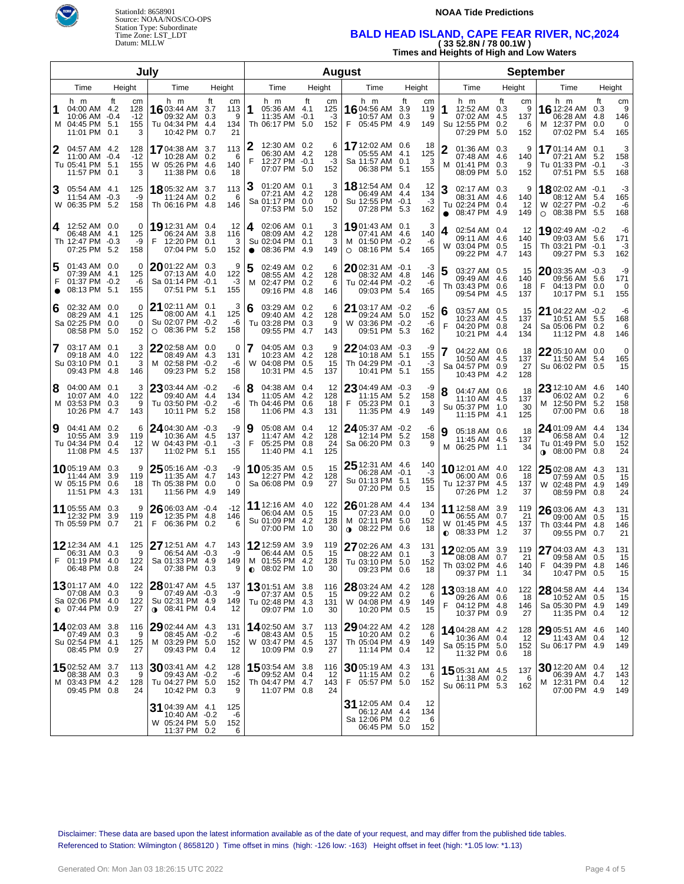

# StationId: 8658901 Source: NOAA/NOS/CO-OPS Station Type: Subordinate Time Zone: LST\_LDT Datum: MLLW

### **NOAA Tide Predictions**

# **BALD HEAD ISLAND, CAPE FEAR RIVER, NC,2024 ( 33 52.8N / 78 00.1W )**

**Times and Heights of High and Low Waters**

| July                |                                                                             |        |                                |                                                                                  |                                          |                |                                                                             |    |                             | <b>August</b>                                                              | <b>September</b>                   |           |                                                                   |                  |                            |                                                                                  |        |                            |
|---------------------|-----------------------------------------------------------------------------|--------|--------------------------------|----------------------------------------------------------------------------------|------------------------------------------|----------------|-----------------------------------------------------------------------------|----|-----------------------------|----------------------------------------------------------------------------|------------------------------------|-----------|-------------------------------------------------------------------|------------------|----------------------------|----------------------------------------------------------------------------------|--------|----------------------------|
|                     | Time                                                                        | Height |                                | Time                                                                             | Height                                   |                | Time                                                                        |    | Height                      | Time                                                                       | Height                             |           | Time                                                              |                  | Height                     | Time                                                                             | Height |                            |
| м                   | h m<br>04:00 AM 4.2<br>10:06 AM -0.4<br>04:45 PM 5.1<br>11:01 PM 0.1        | ft     | cm<br>128<br>$-12$<br>155<br>3 | h m<br>16 03:44 AM 3.7<br>09:32 AM 0.3<br>Tu 04:34 PM 4.4<br>10:42 PM            | ft<br>cm<br>113<br>9<br>134<br>21<br>0.7 | 1              | h m<br>05:36 AM 4.1<br>$11:35$ AM $-0.1$<br>Th 06:17 PM 5.0                 | ft | cm<br>125<br>-3<br>152      | h m<br>1604:56 AM<br>10:57 AM 0.3<br>F<br>05:45 PM 4.9                     | ft<br>cm<br>3.9<br>119<br>9<br>149 | 1         | h m<br>12:52 AM 0.3<br>07:02 AM 4.5<br>Su 12:55 PM<br>07:29 PM    | ft<br>0.2<br>5.0 | cm<br>9<br>137<br>6<br>152 | h m<br>16 12:24 AM 0.3<br>06:28 AM 4.8<br>12:37 PM 0.0<br>м<br>07:02 PM 5.4      | ft     | cm<br>9<br>146<br>0<br>165 |
| 2                   | 04:57 AM 4.2<br>11:00 AM -0.4<br>Tu 05:41 PM 5.1<br>11:57 PM 0.1            |        | 128<br>$-12$<br>155<br>3       | 1704:38 AM 3.7<br>10:28 AM 0.2<br>W 05:26 PM 4.6<br>11:38 PM 0.6                 | 113<br>6<br>140<br>18                    | 2<br>F         | 12:30 AM 0.2<br>06:30 AM 4.2<br>12:27 PM -0.1<br>07:07 PM 5.0               |    | 6<br>128<br>-3<br>152       | 17 12:02 AM 0.6<br>05:55 AM 4.1<br>Sa 11:57 AM 0.1<br>06:38 PM 5.1         | 18<br>125<br>3<br>155              | м         | 01:36 AM 0.3<br>07:48 AM 4.6<br>01:41 PM 0.3<br>08:09 PM 5.0      |                  | 9<br>140<br>9<br>152       | 1701:14 AM 0.1<br>07:21 AM 5.2<br>Tu 01:33 PM -0.1<br>07:51 PM 5.5               |        | 3<br>158<br>$-3$<br>168    |
| 3                   | 05:54 AM 4.1<br>11:54 AM -0.3<br>W 06:35 PM 5.2                             |        | 125<br>-9<br>158               | 18 05:32 AM 3.7<br>11:24 AM 0.2<br>Th 06:16 PM 4.8                               | 113<br>6<br>146                          |                | 01:20 AM 0.1<br>07:21 AM 4.2<br>Sa 01:17 PM 0.0<br>07:53 PM 5.0             |    | 3<br>128<br>$\Omega$<br>152 | <b>18</b> 12:54 AM 0.4<br>06:49 AM 4.4<br>Su 12:55 PM -0.1<br>07:28 PM 5.3 | 12<br>134<br>-3<br>162             | $\bullet$ | 02:17 AM 0.3<br>08:31 AM 4.6<br>Tu 02:24 PM 0.4<br>08:47 PM 4.9   |                  | 9<br>140<br>12<br>149      | 1802:02 AM -0.1<br>08:12 AM 5.4<br>02:27 PM -0.2<br>W<br>08:38 PM 5.5<br>$\circ$ |        | -3<br>165<br>-6<br>168     |
| 4                   | 12:52 AM 0.0<br>06:48 AM 4.1<br>Th 12:47 PM -0.3<br>07:25 PM 5.2            |        | 0<br>125<br>-9<br>158          | <b>19</b> 12:31 AM 0.4<br>06:24 AM 3.8<br>F<br>12:20 PM 0.1<br>07:04 PM 5.0      | 12<br>116<br>3<br>152                    | 4<br>$\bullet$ | 02:06 AM 0.1<br>08:09 AM 4.2<br>Su 02:04 PM 0.1<br>08:36 PM 4.9             |    | 3<br>128<br>3<br>149        | 19 01:43 AM 0.1<br>07:41 AM 4.6<br>M 01:50 PM -0.2<br>$O$ 08:16 PM 5.4     | 3<br>140<br>-6<br>165              | 4<br>W    | 02:54 AM 0.4<br>09:11 AM 4.6<br>03:04 PM 0.5<br>09:22 PM 4.7      |                  | 12<br>140<br>15<br>143     | 1902:49 AM -0.2<br>09:03 AM 5.6<br>Th 03:21 PM -0.1<br>09:27 PM 5.3              |        | -6<br>171<br>-3<br>162     |
| 5<br>F<br>$\bullet$ | 01:43 AM 0.0<br>07:39 AM 4.1<br>01:37 PM -0.2<br>08:13 PM 5.1               |        | 0<br>125<br>-6<br>155          | $20$ 01:22 AM 0.3<br>07:13 AM 4.0<br>Sa 01:14 PM -0.1<br>07:51 PM 5.1            | 9<br>122<br>-3<br>155                    | 5<br>M         | 02:49 AM 0.2<br>08:55 AM 4.2<br>02:47 PM 0.2<br>09:16 PM 4.8                |    | 6<br>128<br>6<br>146        | $20$ 02:31 AM $-0.1$<br>08:32 AM 4.8<br>Tu 02:44 PM -0.2<br>09:03 PM 5.4   | -3<br>146<br>-6<br>165             | 5         | 03:27 AM 0.5<br>09:49 AM 4.6<br>Th 03:43 PM<br>09:54 PM 4.5       | 0.6              | 15<br>140<br>18<br>137     | 2003:35 AM -0.3<br>09:56 AM 5.6<br>F<br>04:13 PM 0.0<br>10:17 PM 5.1             |        | -9<br>171<br>0<br>155      |
| 6                   | 02:32 AM 0.0<br>08:29 AM 4.1<br>Sa 02:25 PM 0.0<br>08:58 PM 5.0             |        | 0<br>125<br>0<br>152           | $21$ 02:11 AM 0.1<br>08:00 AM 4.1<br>Su 02:07 PM -0.2<br>08:36 PM 5.2<br>$\circ$ | 3<br>125<br>-6<br>158                    | 6              | 03:29 AM 0.2<br>09:40 AM 4.2<br>Tu 03:28 PM 0.3<br>09:55 PM 4.7             |    | 6<br>128<br>9<br>143        | 21 03:17 AM -0.2<br>09:24 AM 5.0<br>W 03:36 PM -0.2<br>09:51 PM 5.3        | -6<br>152<br>-6<br>162             | 6<br>F    | 03:57 AM 0.5<br>10:23 AM 4.5<br>04:20 PM 0.8<br>10:21 PM 4.4      |                  | 15<br>137<br>24<br>134     | <b>21</b> 04:22 AM $-0.2$<br>10:51 AM 5.5<br>Sa 05:06 PM 0.2<br>11:12 PM 4.8     |        | -6<br>168<br>6<br>146      |
| 7                   | 03:17 AM 0.1<br>09:18 AM 4.0<br>Su 03:10 PM 0.1<br>09:43 PM 4.8             |        | 3<br>122<br>3<br>146           | 2202:58 AM 0.0<br>08:49 AM 4.3<br>M 02:58 PM -0.2<br>09:23 PM 5.2                | 0<br>131<br>-6<br>158                    | 7              | 04:05 AM 0.3<br>10:23 AM 4.2<br>W 04:08 PM 0.5<br>10:31 PM 4.5              |    | 9<br>128<br>15<br>137       | $22$ 04:03 AM $-0.3$<br>10:18 AM 5.1<br>Th 04:29 PM -0.1<br>10:41 PM 5.1   | -9<br>155<br>-3<br>155             | 7         | 04:22 AM 0.6<br>10:50 AM 4.5<br>Sa 04:57 PM 0.9<br>10:43 PM 4.2   |                  | 18<br>137<br>27<br>128     | 22 05:10 AM 0.0<br>11:50 AM 5.4<br>Su 06:02 PM 0.5                               |        | 0<br>165<br>15             |
| 8                   | 04:00 AM 0.1<br>10:07 AM 4.0<br>M 03:53 PM 0.3<br>10:26 PM 4.7              |        | 3<br>122<br>9<br>143           | $23$ 03:44 AM -0.2<br>09:40 AM 4.4<br>Tu 03:50 PM -0.2<br>10:11 PM 5.2           | -6<br>134<br>-6<br>158                   | 8              | 04:38 AM 0.4<br>11:05 AM 4.2<br>Th 04:46 PM 0.6<br>11:06 PM 4.3             |    | 12<br>128<br>18<br>131      | 2304:49 AM -0.3<br>11:15 AM 5.2<br>F<br>05:23 PM 0.1<br>11:35 PM 4.9       | -9<br>158<br>3<br>149              | 8         | 04:47 AM 0.6<br>11:10 AM 4.5<br>Su 05:37 PM 1.0<br>11:15 PM 4.1   |                  | 18<br>137<br>30<br>125     | 23 12:10 AM 4.6<br>06:02 AM 0.2<br>M 12:50 PM 5.2<br>07:00 PM 0.6                |        | 140<br>6<br>158<br>18      |
| 9                   | 04:41 AM 0.2<br>10:55 AM 3.9<br>Tu 04:34 PM 0.4<br>11:08 PM 4.5             |        | 6<br>119<br>12<br>137          | 24 04:30 AM -0.3<br>10:36 AM 4.5<br>W 04:43 PM -0.1<br>11:02 PM 5.1              | -9<br>137<br>-3<br>155                   | 9<br>F         | 05:08 AM 0.4<br>11:47 AM 4.2<br>05:25 PM 0.8<br>11:40 PM 4.1                |    | 12<br>128<br>24<br>125      | 24 05:37 AM -0.2<br>12:14 PM 5.2<br>Sa 06:20 PM 0.3                        | -6<br>158<br>9                     |           | 05:18 AM 0.6<br>11:45 AM 4.5<br>M 06:25 PM 1.1                    |                  | 18<br>137<br>34            | 24 01:09 AM 4.4<br>06:58 AM 0.4<br>Tu 01:49 PM 5.0<br><b>0</b> 08:00 PM 0.8      |        | 134<br>12<br>152<br>24     |
|                     | 1005:19 AM 0.3<br>11:44 AM<br>W 05:15 PM 0.6<br>11:51 PM 4.3                | 3.9    | 9<br>119<br>18<br>131          | $25$ 05:16 AM $-0.3$<br>11:35 AM 4.7<br>Th 05:38 PM 0.0<br>11:56 PM 4.9          | -9<br>143<br>0<br>149                    |                | 10 05:35 AM 0.5<br>12:27 PM 4.2<br>Sa 06:08 PM 0.9                          |    | 15<br>128<br>27             | $2512:31$ AM $4.6$<br>06:28 AM -0.1<br>Su 01:13 PM 5.1<br>07:20 PM 0.5     | 140<br>-3<br>155<br>15             |           | 1012:01 AM 4.0<br>06:00 AM 0.6<br>Tu 12:37 PM 4.5<br>07:26 PM 1.2 |                  | 122<br>18<br>137<br>37     | 25 02:08 AM 4.3<br>07:59 AM 0.5<br>W 02:48 PM 4.9<br>08:59 PM 0.8                |        | 131<br>15<br>149<br>24     |
|                     | 11 05:55 AM 0.3<br>12:32 PM<br>Th 05:59 PM 0.7                              | 3.9    | 9<br>119<br>21                 | 26 06:03 AM -0.4<br>12:35 PM 4.8<br>F<br>06:36 PM 0.2                            | $-12$<br>146<br>6                        |                | 11 12:16 AM 4.0<br>06:04 AM 0.5<br>Su 01:09 PM 4.2<br>07:00 PM 1.0          |    | 122<br>-15<br>128<br>30     | 26 01:28 AM 4.4<br>07:23 AM 0.0<br>M 02:11 PM 5.0<br>$0.08:22$ PM 0.6      | 134<br>$\Omega$<br>152<br>18       | $\bullet$ | 11 12:58 AM 3.9<br>06:55 AM 0.7<br>W 01:45 PM 4.5<br>08:33 PM 1.2 |                  | 119<br>21<br>137<br>37     | 26 03:06 AM 4.3<br>09:00 AM 0.5<br>Th 03:44 PM 4.8<br>09:55 PM 0.7               |        | 131<br>15<br>146<br>21     |
| F                   | 12 12:34 AM 4.1<br>06:31 AM 0.3<br>$01.19$ PM $40$<br>06:48 PM 0.8          |        | 125<br>9<br>122<br>24          | <b>27</b> 12:51 AM 4.7<br>06:54 AM -0.3<br>Sa 01:33 PM 4.9<br>07:38 PM 0.3       | 143<br>-9<br>149<br>9                    |                | 12 12:59 AM 3.9<br>06:44 AM 0.5<br>M 01:55 PM 4.2<br>$\bullet$ 08:02 PM 1.0 |    | 119<br>15<br>128<br>30      | 27 02:26 AM 4.3<br>08:22 AM 0.1<br>Tu 03:10 PM 5.0<br>09:23 PM 0.6         | 131<br>3<br>152<br>18              |           | 1202:05 AM 3.9<br>08:08 AM 0.7<br>Th 03:02 PM 4.6<br>09:37 PM 1.1 |                  | 119<br>21<br>140<br>34     | 27 04:03 AM 4.3<br>09:58 AM 0.5<br>04:39 PM 4.8<br>F<br>10:47 PM 0.5             |        | 131<br>15<br>146<br>15     |
|                     | 1301:17 AM 4.0<br>07:08 AM 0.3<br>Sa 02:06 PM 4.0<br>$\bullet$ 07:44 PM 0.9 |        | 122<br>9<br>122<br>27          | 28 01:47 AM 4.5<br>07:49 AM -0.3<br>Su 02:31 PM 4.9<br>$0.08:41$ PM 0.4          | 137<br>-9<br>149<br>12                   |                | 1301:51 AM 3.8<br>07:37 AM 0.5<br>Tu 02:48 PM 4.3<br>09:07 PM 1.0           |    | 116<br>15<br>131<br>30      | 28 03:24 AM 4.2<br>09:22 AM 0.2<br>W 04:08 PM 4.9<br>10:20 PM 0.5          | 128<br>6<br>149<br>15              | F         | 1303:18 AM 4.0<br>09:26 AM 0.6<br>04:12 PM 4.8<br>10:37 PM 0.9    |                  | 122<br>18<br>146<br>27     | 28 04:58 AM 4.4<br>10:52 AM 0.5<br>Sa 05:30 PM 4.9<br>11:35 PM 0.4               |        | 134<br>15<br>149<br>12     |
|                     | 1402:03 AM 3.8<br>07:49 AM 0.3<br>Su 02:54 PM 4.1<br>08:45 PM 0.9           |        | 116<br>9<br>125<br>27          | $2902:44$ AM $4.3$<br>08:45 AM -0.2<br>M 03:29 PM 5.0<br>09:43 PM 0.4            | 131<br>-6<br>152<br>12                   |                | <b>14</b> 02:50 AM 3.7<br>08:43 AM 0.5<br>W 03:47 PM 4.5<br>10:09 PM 0.9    |    | 113<br>15<br>137<br>27      | 29 04:22 AM 4.2<br>10:20 AM 0.2<br>Th 05:04 PM 4.9<br>11:14 PM 0.4         | 128<br>-6<br>149<br>12             |           | 14 04:28 AM 4.2<br>10:36 AM<br>Sa 05:15 PM 5.0<br>11:32 PM 0.6    | 0.4              | 128<br>12<br>152<br>18     | 29 05:51 AM 4.6<br>11:43 AM 0.4<br>Su 06:17 PM 4.9                               |        | 140<br>12<br>149           |
|                     | 1502:52 AM 3.7<br>08:38 AM 0.3<br>M 03:43 PM 4.2<br>09:45 PM 0.8            |        | 113<br>9<br>128<br>24          | $30$ 03:41 AM 4.2<br>09:43 AM -0.2<br>Tu 04:27 PM 5.0<br>10:42 PM 0.3            | 128<br>-6<br>152<br>9                    |                | <b>15</b> 03:54 AM 3.8<br>09:52 AM 0.4<br>Th 04:47 PM 4.7<br>11:07 PM 0.8   |    | 116<br>12<br>143<br>24      | <b>30</b> 05:19 AM 4.3<br>$11:15$ AM $0.2$<br>F.<br>05:57 PM 5.0           | 131<br>-6<br>152                   |           | <b>15</b> 05:31 AM 4.5<br>11:38 AM 0.2<br>Su 06:11 PM 5.3         |                  | 137<br>6<br>162            | 30 12:20 AM 0.4<br>06:39 AM 4.7<br>12:31 PM 0.4<br>M<br>07:00 PM 4.9             |        | 12<br>143<br>12<br>149     |
|                     |                                                                             |        |                                | 31 04:39 AM 4.1<br>10:40 AM -0.2<br>W 05:24 PM 5.0<br>11:37 PM 0.2               | 125<br>-6<br>152<br>6                    |                |                                                                             |    |                             | 31 12:05 AM 0.4<br>06:12 AM 4.4<br>Sa 12:06 PM 0.2<br>06:45 PM 5.0         | 12<br>134<br>6<br>152              |           |                                                                   |                  |                            |                                                                                  |        |                            |